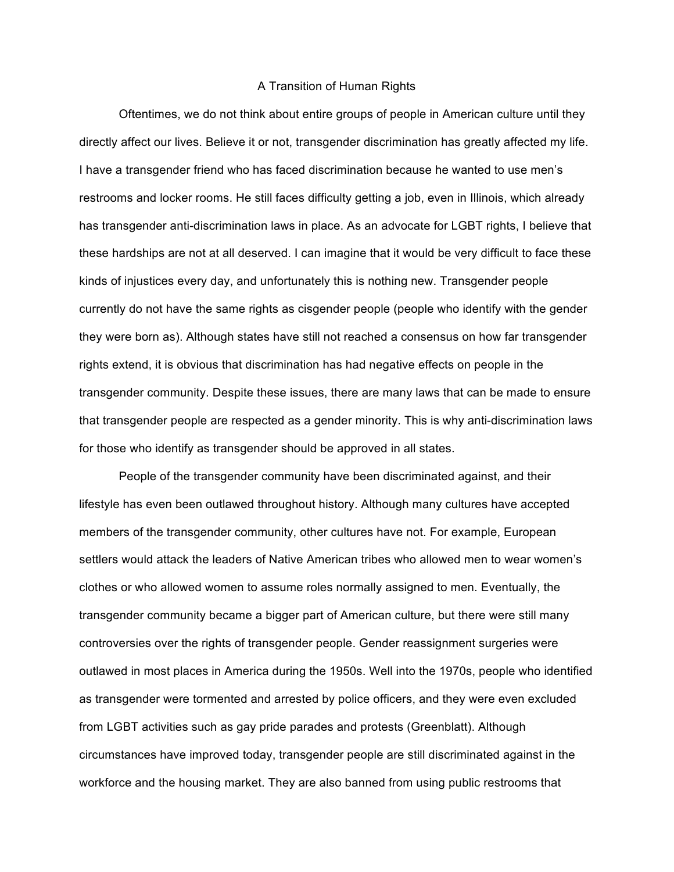## A Transition of Human Rights

Oftentimes, we do not think about entire groups of people in American culture until they directly affect our lives. Believe it or not, transgender discrimination has greatly affected my life. I have a transgender friend who has faced discrimination because he wanted to use men's restrooms and locker rooms. He still faces difficulty getting a job, even in Illinois, which already has transgender anti-discrimination laws in place. As an advocate for LGBT rights, I believe that these hardships are not at all deserved. I can imagine that it would be very difficult to face these kinds of injustices every day, and unfortunately this is nothing new. Transgender people currently do not have the same rights as cisgender people (people who identify with the gender they were born as). Although states have still not reached a consensus on how far transgender rights extend, it is obvious that discrimination has had negative effects on people in the transgender community. Despite these issues, there are many laws that can be made to ensure that transgender people are respected as a gender minority. This is why anti-discrimination laws for those who identify as transgender should be approved in all states.

People of the transgender community have been discriminated against, and their lifestyle has even been outlawed throughout history. Although many cultures have accepted members of the transgender community, other cultures have not. For example, European settlers would attack the leaders of Native American tribes who allowed men to wear women's clothes or who allowed women to assume roles normally assigned to men. Eventually, the transgender community became a bigger part of American culture, but there were still many controversies over the rights of transgender people. Gender reassignment surgeries were outlawed in most places in America during the 1950s. Well into the 1970s, people who identified as transgender were tormented and arrested by police officers, and they were even excluded from LGBT activities such as gay pride parades and protests (Greenblatt). Although circumstances have improved today, transgender people are still discriminated against in the workforce and the housing market. They are also banned from using public restrooms that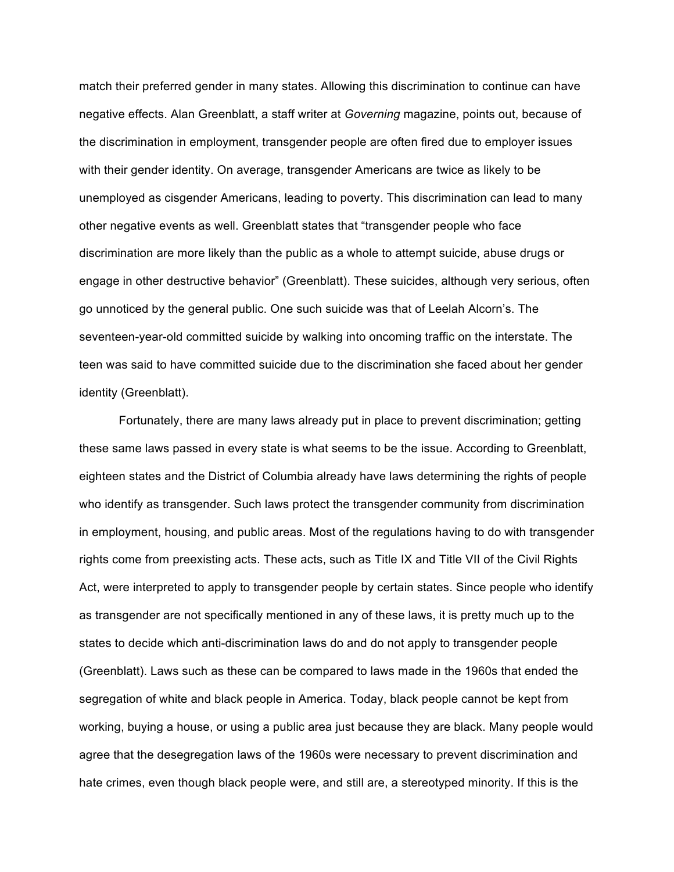match their preferred gender in many states. Allowing this discrimination to continue can have negative effects. Alan Greenblatt, a staff writer at *Governing* magazine, points out, because of the discrimination in employment, transgender people are often fired due to employer issues with their gender identity. On average, transgender Americans are twice as likely to be unemployed as cisgender Americans, leading to poverty. This discrimination can lead to many other negative events as well. Greenblatt states that "transgender people who face discrimination are more likely than the public as a whole to attempt suicide, abuse drugs or engage in other destructive behavior" (Greenblatt). These suicides, although very serious, often go unnoticed by the general public. One such suicide was that of Leelah Alcorn's. The seventeen-year-old committed suicide by walking into oncoming traffic on the interstate. The teen was said to have committed suicide due to the discrimination she faced about her gender identity (Greenblatt).

Fortunately, there are many laws already put in place to prevent discrimination; getting these same laws passed in every state is what seems to be the issue. According to Greenblatt, eighteen states and the District of Columbia already have laws determining the rights of people who identify as transgender. Such laws protect the transgender community from discrimination in employment, housing, and public areas. Most of the regulations having to do with transgender rights come from preexisting acts. These acts, such as Title IX and Title VII of the Civil Rights Act, were interpreted to apply to transgender people by certain states. Since people who identify as transgender are not specifically mentioned in any of these laws, it is pretty much up to the states to decide which anti-discrimination laws do and do not apply to transgender people (Greenblatt). Laws such as these can be compared to laws made in the 1960s that ended the segregation of white and black people in America. Today, black people cannot be kept from working, buying a house, or using a public area just because they are black. Many people would agree that the desegregation laws of the 1960s were necessary to prevent discrimination and hate crimes, even though black people were, and still are, a stereotyped minority. If this is the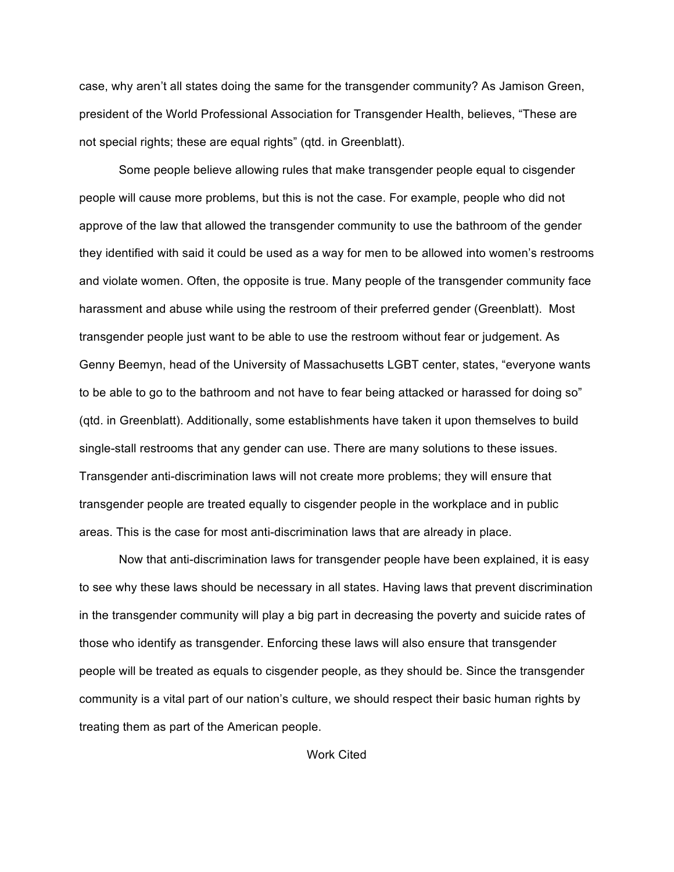case, why aren't all states doing the same for the transgender community? As Jamison Green, president of the World Professional Association for Transgender Health, believes, "These are not special rights; these are equal rights" (qtd. in Greenblatt).

Some people believe allowing rules that make transgender people equal to cisgender people will cause more problems, but this is not the case. For example, people who did not approve of the law that allowed the transgender community to use the bathroom of the gender they identified with said it could be used as a way for men to be allowed into women's restrooms and violate women. Often, the opposite is true. Many people of the transgender community face harassment and abuse while using the restroom of their preferred gender (Greenblatt). Most transgender people just want to be able to use the restroom without fear or judgement. As Genny Beemyn, head of the University of Massachusetts LGBT center, states, "everyone wants to be able to go to the bathroom and not have to fear being attacked or harassed for doing so" (qtd. in Greenblatt). Additionally, some establishments have taken it upon themselves to build single-stall restrooms that any gender can use. There are many solutions to these issues. Transgender anti-discrimination laws will not create more problems; they will ensure that transgender people are treated equally to cisgender people in the workplace and in public areas. This is the case for most anti-discrimination laws that are already in place.

Now that anti-discrimination laws for transgender people have been explained, it is easy to see why these laws should be necessary in all states. Having laws that prevent discrimination in the transgender community will play a big part in decreasing the poverty and suicide rates of those who identify as transgender. Enforcing these laws will also ensure that transgender people will be treated as equals to cisgender people, as they should be. Since the transgender community is a vital part of our nation's culture, we should respect their basic human rights by treating them as part of the American people.

Work Cited